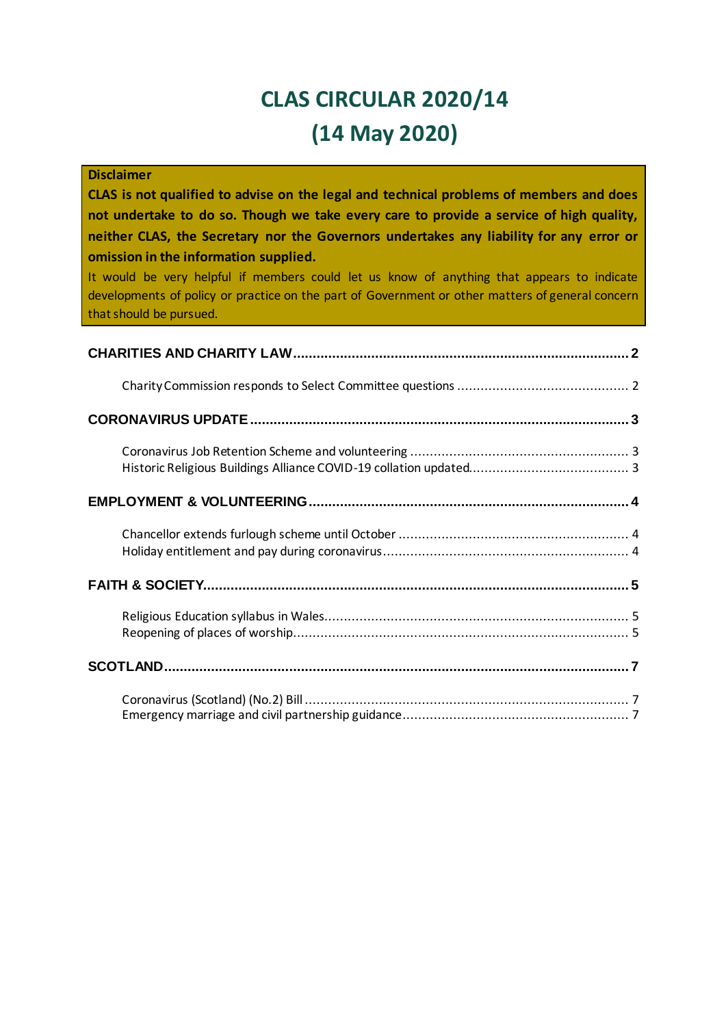# **CLAS CIRCULAR 2020/14 (14 May 2020)**

| <b>Disclaimer</b>                                                                                                                                                                              |
|------------------------------------------------------------------------------------------------------------------------------------------------------------------------------------------------|
| CLAS is not qualified to advise on the legal and technical problems of members and does<br>not undertake to do so. Though we take every care to provide a service of high quality,             |
| neither CLAS, the Secretary nor the Governors undertakes any liability for any error or<br>omission in the information supplied.                                                               |
| It would be very helpful if members could let us know of anything that appears to indicate<br>developments of policy or practice on the part of Government or other matters of general concern |
| that should be pursued.                                                                                                                                                                        |
|                                                                                                                                                                                                |
|                                                                                                                                                                                                |
|                                                                                                                                                                                                |
|                                                                                                                                                                                                |
|                                                                                                                                                                                                |
|                                                                                                                                                                                                |
|                                                                                                                                                                                                |
|                                                                                                                                                                                                |
|                                                                                                                                                                                                |
|                                                                                                                                                                                                |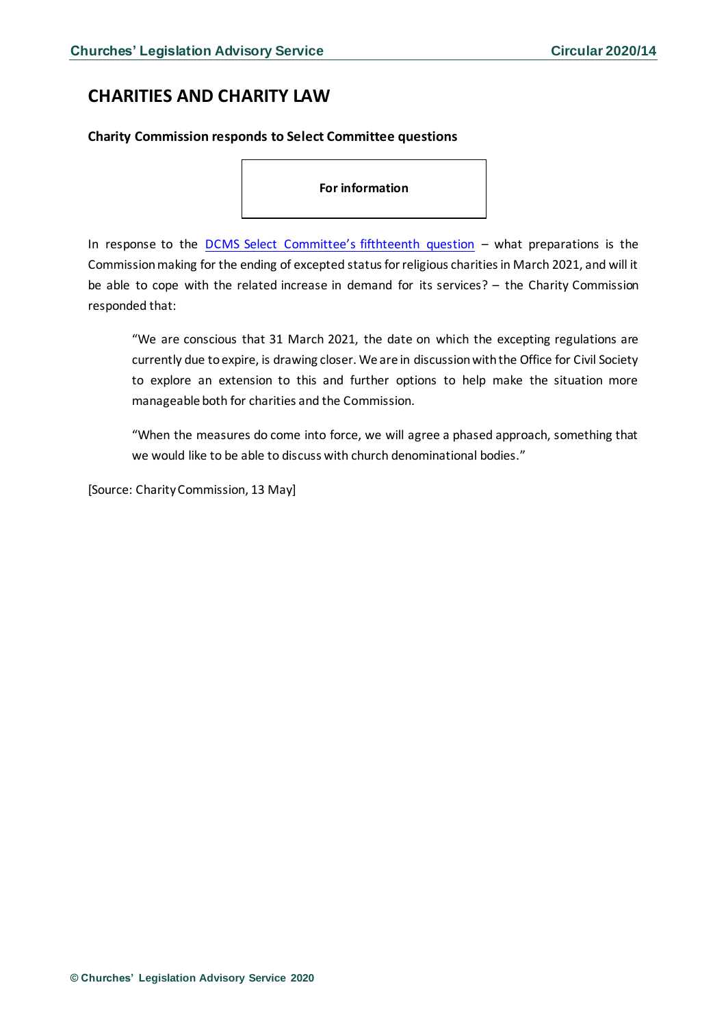# <span id="page-1-0"></span>**CHARITIES AND CHARITY LAW**

### <span id="page-1-1"></span>**Charity Commission responds to Select Committee questions**

**For information** 

In response to the [DCMS Select Committee's fifthteenth question](https://www.gov.uk/government/publications/charity-commission-responds-to-select-committee-questions/charity-commission-responds-to-select-committee-questions) – what preparations is the Commission making for the ending of excepted status for religious charities in March 2021, and will it be able to cope with the related increase in demand for its services? – the Charity Commission responded that:

"We are conscious that 31 March 2021, the date on which the excepting regulations are currently due to expire, is drawing closer. We are in discussion with the Office for Civil Society to explore an extension to this and further options to help make the situation more manageable both for charities and the Commission.

"When the measures do come into force, we will agree a phased approach, something that we would like to be able to discuss with church denominational bodies."

[Source: Charity Commission, 13 May]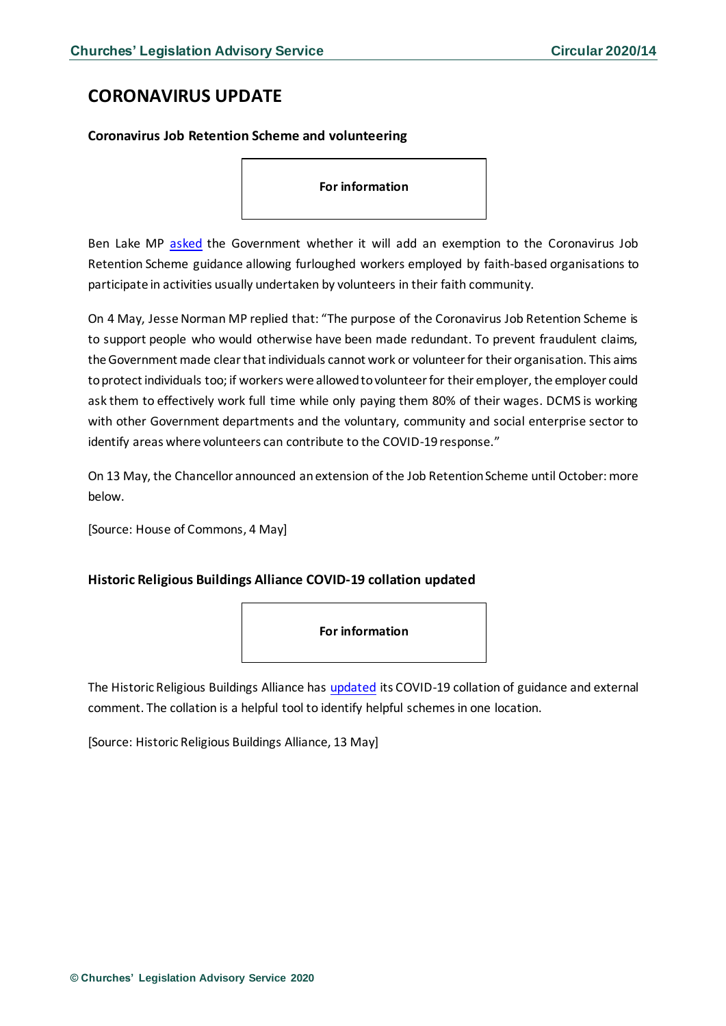# <span id="page-2-0"></span>**CORONAVIRUS UPDATE**

### <span id="page-2-1"></span>**Coronavirus Job Retention Scheme and volunteering**

#### **For information**

Ben Lake MP [asked](https://www.parliament.uk/business/publications/written-questions-answers-statements/written-question/Commons/2020-04-29/41576/) the Government whether it will add an exemption to the Coronavirus Job Retention Scheme guidance allowing furloughed workers employed by faith-based organisations to participate in activities usually undertaken by volunteers in their faith community.

On 4 May, Jesse Norman MP replied that: "The purpose of the Coronavirus Job Retention Scheme is to support people who would otherwise have been made redundant. To prevent fraudulent claims, the Government made clear that individuals cannot work or volunteer for their organisation. This aims to protect individuals too; if workers were allowed to volunteer for their employer, the employer could ask them to effectively work full time while only paying them 80% of their wages. DCMS is working with other Government departments and the voluntary, community and social enterprise sector to identify areas where volunteers can contribute to the COVID-19 response."

On 13 May, the Chancellor announced an extension of the Job Retention Scheme until October: more below.

[Source: House of Commons, 4 May]

### <span id="page-2-2"></span>**Historic Religious Buildings Alliance COVID-19 collation updated**



The Historic Religious Buildings Alliance has [updated](http://www.hrballiance.org.uk/coronavirus/) its COVID-19 collation of guidance and external comment. The collation is a helpful tool to identify helpful schemes in one location.

[Source: Historic Religious Buildings Alliance, 13 May]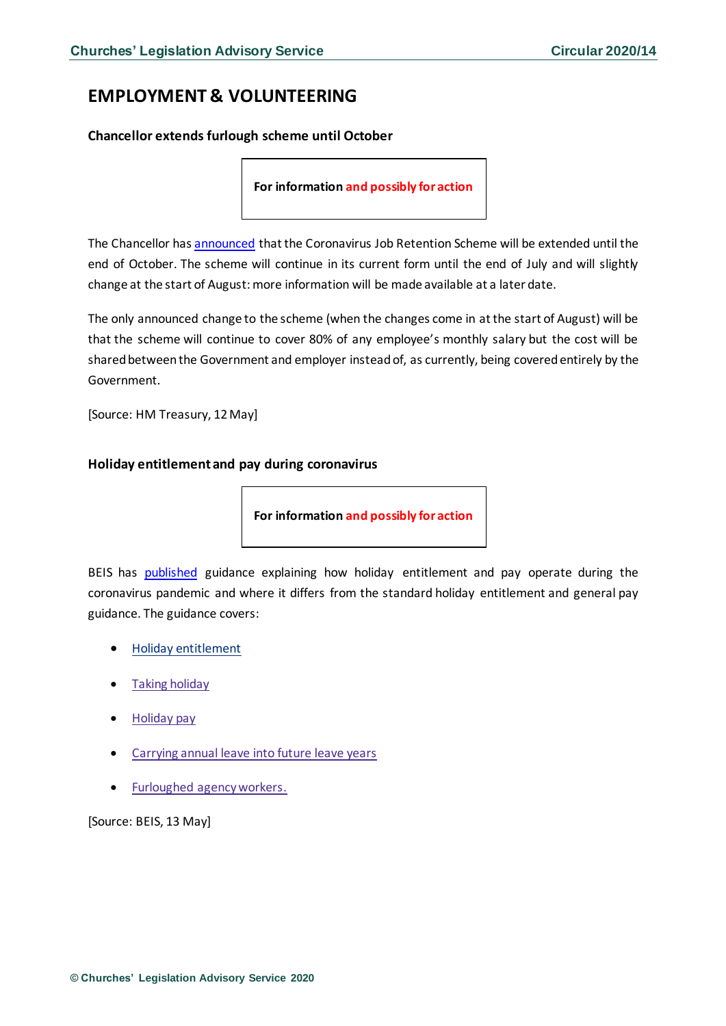# <span id="page-3-0"></span>**EMPLOYMENT & VOLUNTEERING**

<span id="page-3-1"></span>**Chancellor extends furlough scheme until October**

**For information and possibly for action**

The Chancellor has **announced** that the Coronavirus Job Retention Scheme will be extended until the end of October. The scheme will continue in its current form until the end of July and will slightly change at the start of August: more information will be made available at a later date.

The only announced change to the scheme (when the changes come in at the start of August) will be that the scheme will continue to cover 80% of any employee's monthly salary but the cost will be shared between the Government and employer instead of, as currently, being coveredentirely by the Government.

[Source: HM Treasury, 12 May]

### <span id="page-3-2"></span>**Holiday entitlement and pay during coronavirus**

**For information and possibly for action**

BEIS has [published](https://www.gov.uk/guidance/holiday-entitlement-and-pay-during-coronavirus-covid-19?utm_source=458b84c0-5181-43ea-9d13-fd803529f23d&utm_medium=email&utm_campaign=govuk-notifications&utm_content=daily) guidance explaining how holiday entitlement and pay operate during the coronavirus pandemic and where it differs from the standard holiday entitlement and general pay guidance. The guidance covers:

- Holiday [entitlement](https://www.gov.uk/guidance/holiday-entitlement-and-pay-during-coronavirus-covid-19?utm_source=458b84c0-5181-43ea-9d13-fd803529f23d&utm_medium=email&utm_campaign=govuk-notifications&utm_content=daily#holiday-entitlement)
- Taking [holiday](https://www.gov.uk/guidance/holiday-entitlement-and-pay-during-coronavirus-covid-19?utm_source=458b84c0-5181-43ea-9d13-fd803529f23d&utm_medium=email&utm_campaign=govuk-notifications&utm_content=daily#taking-holiday)
- [Holiday](https://www.gov.uk/guidance/holiday-entitlement-and-pay-during-coronavirus-covid-19?utm_source=458b84c0-5181-43ea-9d13-fd803529f23d&utm_medium=email&utm_campaign=govuk-notifications&utm_content=daily#holiday-pay) pay
- [Carrying](https://www.gov.uk/guidance/holiday-entitlement-and-pay-during-coronavirus-covid-19?utm_source=458b84c0-5181-43ea-9d13-fd803529f23d&utm_medium=email&utm_campaign=govuk-notifications&utm_content=daily#carrying-annual-leave-into-future-leave-years) annual leave into future leave years
- Furloughed [agencyworkers.](https://www.gov.uk/guidance/holiday-entitlement-and-pay-during-coronavirus-covid-19?utm_source=458b84c0-5181-43ea-9d13-fd803529f23d&utm_medium=email&utm_campaign=govuk-notifications&utm_content=daily#furloughed-agency-workers)

[Source: BEIS, 13 May]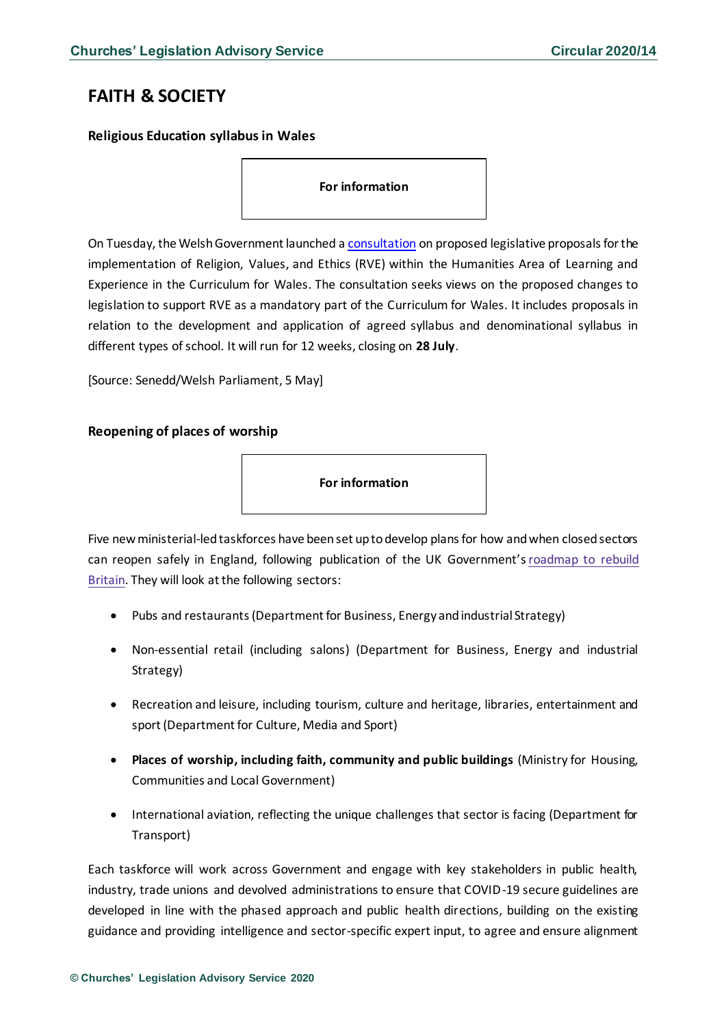# <span id="page-4-0"></span>**FAITH & SOCIETY**

<span id="page-4-1"></span>**Religious Education syllabus in Wales**

**For information**

On Tuesday, the Welsh Government launched a [consultation](https://gov.wales/legislative-proposals-religion-values-and-ethics) on proposed legislative proposals for the implementation of Religion, Values, and Ethics (RVE) within the Humanities Area of Learning and Experience in the Curriculum for Wales. The consultation seeks views on the proposed changes to legislation to support RVE as a mandatory part of the Curriculum for Wales. It includes proposals in relation to the development and application of agreed syllabus and denominational syllabus in different types of school. It will run for 12 weeks, closing on **28 July**.

[Source: Senedd/Welsh Parliament, 5 May]

### <span id="page-4-2"></span>**Reopening of places of worship**

**For information**

Five new ministerial-led taskforces have been set up to develop plans for how and when closed sectors can reopen safely in England, following publication of the UK Government's[roadmap](https://www.gov.uk/government/publications/our-plan-to-rebuild-the-uk-governments-covid-19-recovery-strategy) to rebuild [Britain.](https://www.gov.uk/government/publications/our-plan-to-rebuild-the-uk-governments-covid-19-recovery-strategy) They will look at the following sectors:

- Pubs and restaurants (Department for Business, Energy and industrial Strategy)
- Non-essential retail (including salons) (Department for Business, Energy and industrial Strategy)
- Recreation and leisure, including tourism, culture and heritage, libraries, entertainment and sport (Department for Culture, Media and Sport)
- **Places of worship, including faith, community and public buildings** (Ministry for Housing, Communities and Local Government)
- International aviation, reflecting the unique challenges that sector is facing (Department for Transport)

Each taskforce will work across Government and engage with key stakeholders in public health, industry, trade unions and devolved administrations to ensure that COVID-19 secure guidelines are developed in line with the phased approach and public health directions, building on the existing guidance and providing intelligence and sector-specific expert input, to agree and ensure alignment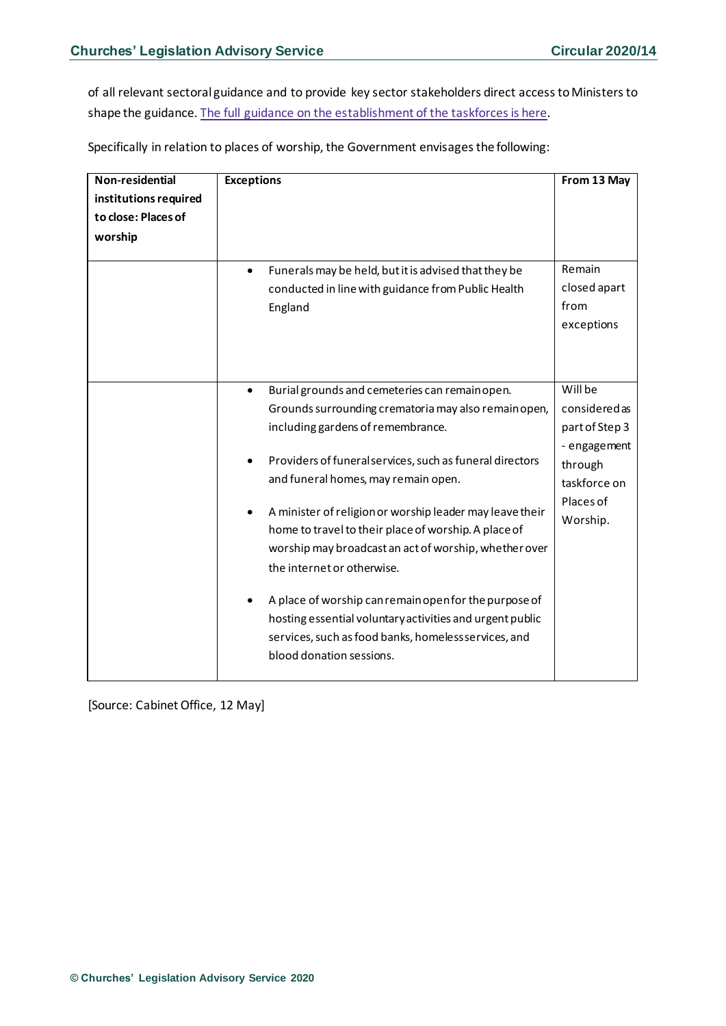of all relevant sectoral guidance and to provide key sector stakeholders direct access to Ministers to shape the guidance. The full guidance on the [establishment](https://www.gov.uk/government/publications/covid-19-roadmap-taskforces) of the taskforces is here.

Specifically in relation to places of worship, the Government envisages the following:

| Non-residential       | <b>Exceptions</b>                                                 | From 13 May    |
|-----------------------|-------------------------------------------------------------------|----------------|
| institutions required |                                                                   |                |
| to close: Places of   |                                                                   |                |
| worship               |                                                                   |                |
|                       |                                                                   |                |
|                       | Funerals may be held, but it is advised that they be<br>$\bullet$ | Remain         |
|                       | conducted in line with guidance from Public Health                | closed apart   |
|                       | England                                                           | from           |
|                       |                                                                   | exceptions     |
|                       |                                                                   |                |
|                       |                                                                   |                |
|                       | Burial grounds and cemeteries can remain open.<br>$\bullet$       | Will be        |
|                       | Grounds surrounding crematoria may also remain open,              | consideredas   |
|                       | including gardens of remembrance.                                 | part of Step 3 |
|                       |                                                                   | - engagement   |
|                       | Providers of funeral services, such as funeral directors          | through        |
|                       | and funeral homes, may remain open.                               | taskforce on   |
|                       |                                                                   | Places of      |
|                       | A minister of religion or worship leader may leave their<br>٠     | Worship.       |
|                       | home to travel to their place of worship. A place of              |                |
|                       | worship may broadcast an act of worship, whether over             |                |
|                       | the internet or otherwise.                                        |                |
|                       |                                                                   |                |
|                       | A place of worship can remain open for the purpose of             |                |
|                       | hosting essential voluntary activities and urgent public          |                |
|                       | services, such as food banks, homeless services, and              |                |
|                       | blood donation sessions.                                          |                |
|                       |                                                                   |                |

[Source: Cabinet Office, 12 May]